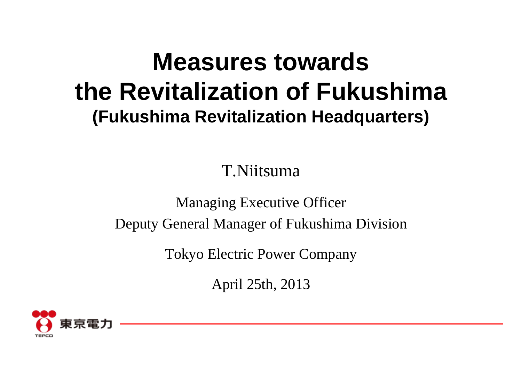# **Measures towards the Revitalization of Fukushima (Fukushima Revitalization Headquarters)**

T.Niitsuma

Managing Executive Officer Deputy General Manager of Fukushima Division

Tokyo Electric Power Company

April 25th, 2013

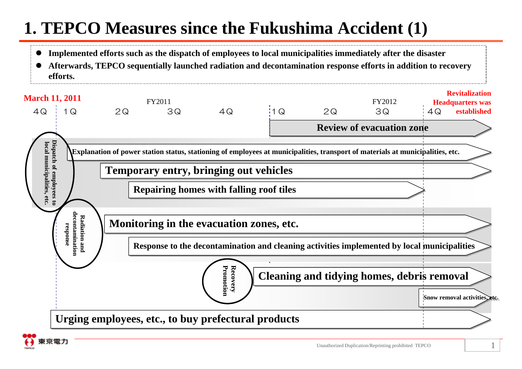### **1. TEPCO Measures since the Fukushima Accident (1)**

- $\bullet$ **Implemented efforts such as the dispatch of employees to local municipalities immediately after the disaster**
- 0 **Afterwards, TEPCO sequentially launched radiation and decontamination response efforts in addition to recovery efforts.**



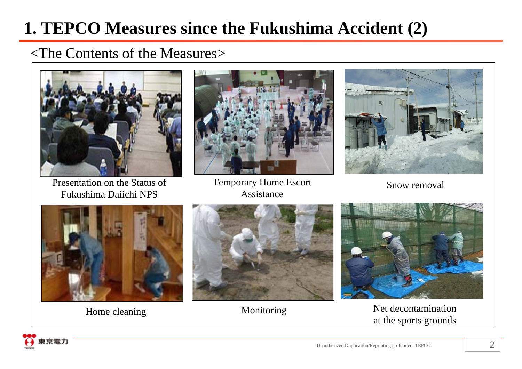### **1. TEPCO Measures since the Fukushima Accident (2)**

#### <The Contents of the Measures>



Presentation on the Status of Fukushima Daiichi NPS



Temporary Home Escort Assistance



Snow removal



Home cleaning





Monitoring Net decontamination at the sports grounds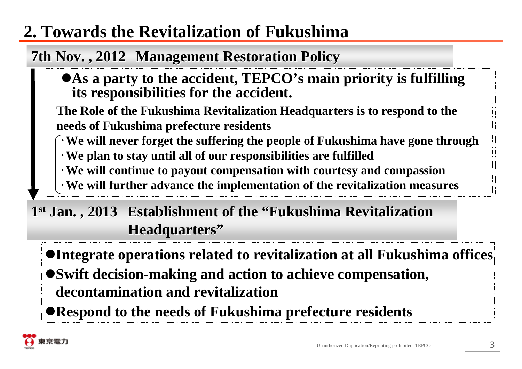### **2. Towards the Revitalization of Fukushima**

### **7th Nov., 2012 Management Restoration Policy**

#### **As a party to the accident, TEPCO's main priority is fulfilling its responsibilities for the accident.**

**The Role of the Fukushima Revitalization Headquarters is to respond to the needs of Fukushima prefecture residents**

- ・**We will never forget the suffering the people of Fukushima have gone through**
- ・**We plan to stay until all of our responsibilities are fulfilled**
- ・**We will continue to payout compensation with courtesy and compassion**
- ・**We will further advance the implementation of the revitalization measures**

1<sup>st</sup> Jan., 2013 Establishment of the "Fukushima Revitalization" **Headquarters**"

**Integrate operations related to revitalization at all Fukushima offices Swift decision-making and action to achieve compensation, decontamination and revitalization**

**Respond to the needs of Fukushima prefecture residents**

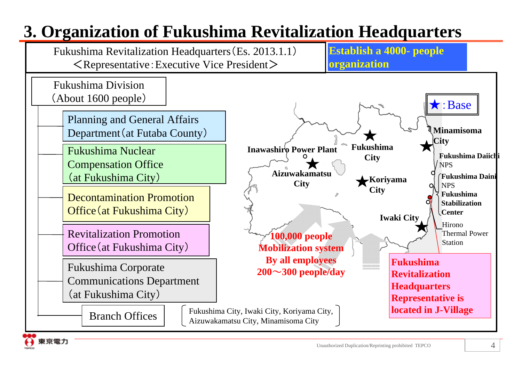## **3. Organization of Fukushima Revitalization Headquarters**

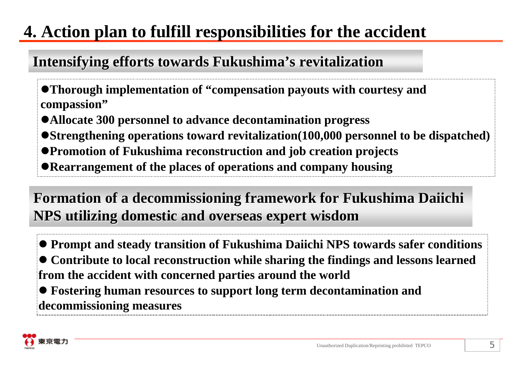### **4. Action plan to fulfill responsibilities for the accident**

### Intensifying efforts towards Fukushima's revitalization

- **Thorough implementation of "compensation payouts with courtesy and compassion"**
- **Allocate 300 personnel to advance decontamination progress**
- **Strengthening operations toward revitalization(100,000 personnel to be dispatched)**
- **Promotion of Fukushima reconstruction and job creation projects**
- **Rearrangement of the places of operations and company housing**

### Formation of a decommissioning framework for Fukushima Daiichi **NPS utilizing domestic and overseas expert wisdom NPS utilizing domestic and overseas expert wisdom**

 **Prompt and steady transition of Fukushima Daiichi NPS towards safer conditions Contribute to local reconstruction while sharing the findings and lessons learned from the accident with concerned parties around the world** 

 **Fostering human resources to support long term decontamination and decommissioning measures**

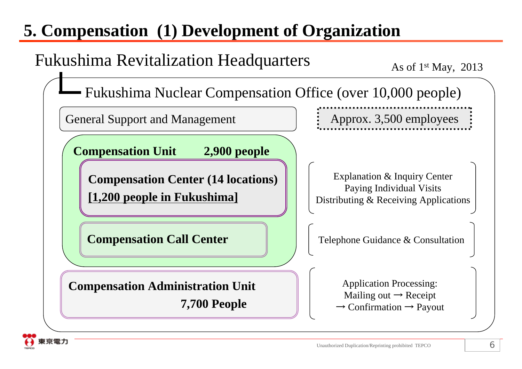### **5. Compensation (1) Development of Organization**

### Fukushima Revitalization Headquarters

As of  $1<sup>st</sup>$  May, 2013

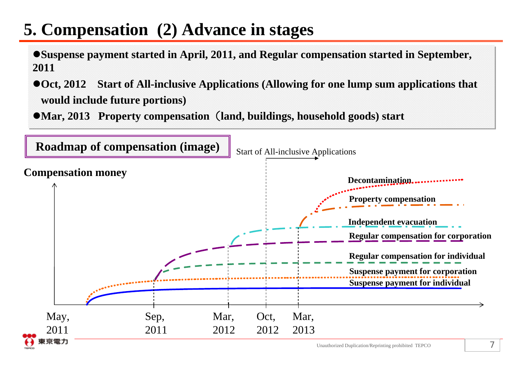### **5. Compensation (2) Advance in stages**

- **Suspense payment started in April, 2011, and Regular compensation started in September, Suspense payment started in April, 2011, and Regular compensation started in September, 2011 2011**
- **Oct, 2012 Start of All-inclusive Applications (Allowing for one lump sum applications that Oct, 2012 Start of All-inclusive Applications (Allowing for one lump sum applications that would include future portions) would include future portions)**
- **Mar, 2013 Property compensation**(**land, buildings, household goods) start Mar, 2013 Property compensation**(**land, buildings, household goods) start**

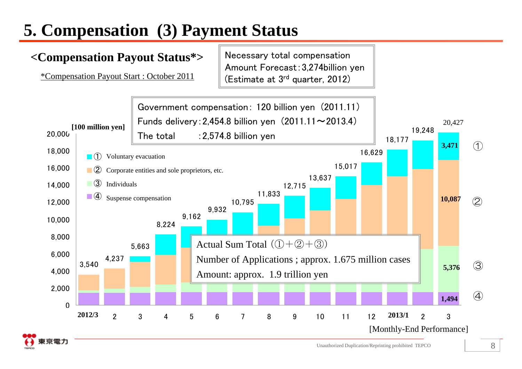# **5. Compensation (3) Payment Status**

哀電力

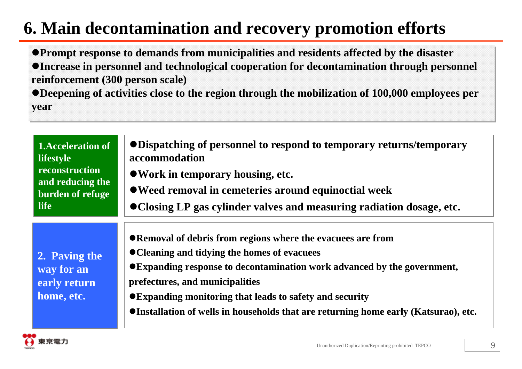### **6. Main decontamination and recovery promotion efforts**

**Prompt response to demands from municipalities and residents affected by the disaster Prompt response to demands from municipalities and residents affected by the disaster Increase in personnel and technological cooperation for decontamination through personnel Increase in personnel and technological cooperation for decontamination through personnel reinforcement (300 person scale) reinforcement (300 person scale)** 

**Deepening of activities close to the region through the mobilization of 100,000 employees per Deepening of activities close to the region through the mobilization of 100,000 employees per year year**

| <b>1.Acceleration of</b><br><b>lifestyle</b><br>reconstruction<br>and reducing the<br>burden of refuge<br><b>life</b> | • Dispatching of personnel to respond to temporary returns/temporary<br>accommodation<br>• Work in temporary housing, etc.<br>• Weed removal in cemeteries around equinoctial week<br>• Closing LP gas cylinder valves and measuring radiation dosage, etc.                                                                                                                     |
|-----------------------------------------------------------------------------------------------------------------------|---------------------------------------------------------------------------------------------------------------------------------------------------------------------------------------------------------------------------------------------------------------------------------------------------------------------------------------------------------------------------------|
| 2. Paving the<br>way for an<br>early return<br>home, etc.                                                             | ● Removal of debris from regions where the evacuees are from<br>● Cleaning and tidying the homes of evacuees<br>● Expanding response to decontamination work advanced by the government,<br>prefectures, and municipalities<br>● Expanding monitoring that leads to safety and security<br>• Installation of wells in households that are returning home early (Katsurao), etc. |

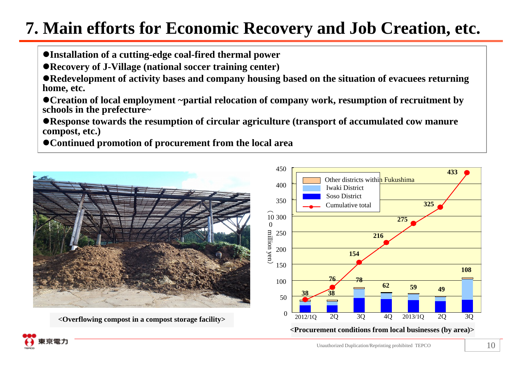### **7. Main efforts for Economic Recovery and Job Creation, etc.**

- **Installation of a cutting-edge coal-fired thermal power**
- **Recovery of J-Village (national soccer training center)**

**Redevelopment of activity bases and company housing based on the situation of evacuees returning home, etc.** 

- **Creation of local employment ~partial relocation of company work, resumption of recruitment by schools in the prefecture~**
- **Response towards the resumption of circular agriculture (transport of accumulated cow manure compost, etc.)**
- **Continued promotion of procurement from the local area**

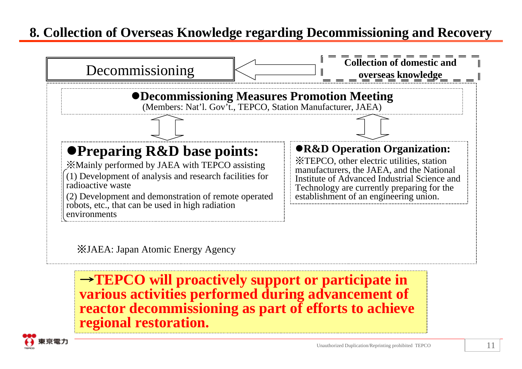#### **8. Collection of Overseas Knowledge regarding Decommissioning and Recovery**



※JAEA: Japan Atomic Energy Agency

<sup>→</sup>**TEPCO will proactively support or participate in various activities performed during advancement of reactor decommissioning as part of efforts to achieve regional restoration.**

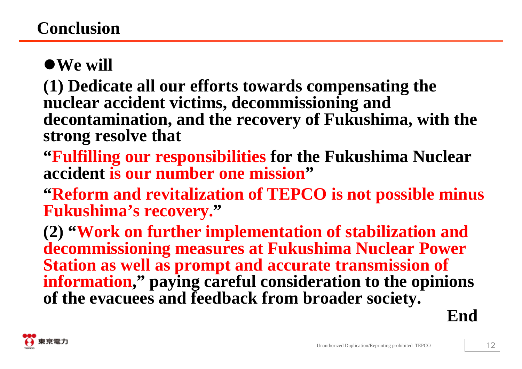# **We will**

**(1) Dedicate all our efforts towards compensating the nuclear accident victims, decommissioning and decontamination, and the recovery of Fukushima, with the strong resolve that**

**"Fulfilling our responsibilities for the Fukushima Nuclear accident is our number one mission"**

**"Reform and revitalization of TEPCO is not possible minus Fukushima's recovery."**

**(2) "Work on further implementation of stabilization and decommissioning measures at Fukushima Nuclear Power Station as well as prompt and accurate transmission of information," paying careful consideration to the opinions of the evacuees and feedback from broader society.**